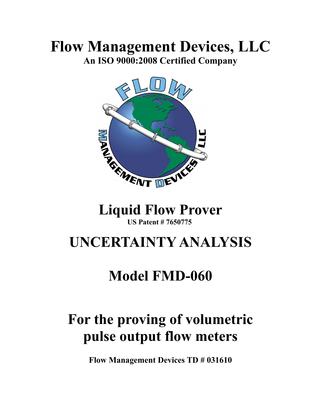### **Flow Management Devices, LLC An ISO 9000:2008 Certified Company**



# **US Patent # 7650775**

## **UNCERTAINTY ANALYSIS**

## **Model FMD-060**

# **For the proving of volumetric pulse output flow meters**

**Flow Management Devices TD # 031610**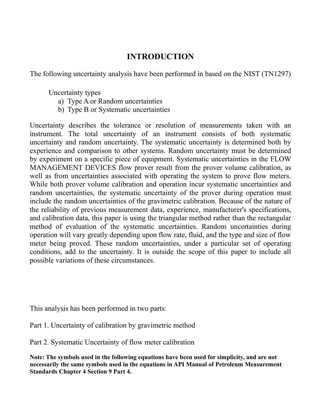### **INTRODUCTION**

The following uncertainty analysis have been performed in based on the NIST (TN1297)

Uncertainty types

- a) Type A or Random uncertainties
- b) Type B or Systematic uncertainties

Uncertainty describes the tolerance or resolution of measurements taken with an instrument. The total uncertainty of an instrument consists of both systematic uncertainty and random uncertainty. The systematic uncertainty is determined both by experience and comparison to other systems. Random uncertainty must be determined by experiment on a specific piece of equipment. Systematic uncertainties in the FLOW MANAGEMENT DEVICES flow prover result from the prover volume calibration, as well as from uncertainties associated with operating the system to prove flow meters. While both prover volume calibration and operation incur systematic uncertainties and random uncertainties, the systematic uncertainty of the prover during operation must include the random uncertainties of the gravimetric calibration. Because of the nature of the reliability of previous measurement data, experience, manufacturer's specifications, and calibration data, this paper is using the triangular method rather than the rectangular method of evaluation of the systematic uncertainties. Random uncertainties during operation will vary greatly depending upon flow rate, fluid, and the type and size of flow meter being proved. These random uncertainties, under a particular set of operating conditions, add to the uncertainty. It is outside the scope of this paper to include all possible variations of these circumstances.

This analysis has been performed in two parts:

Part 1. Uncertainty of calibration by gravimetric method

Part 2. Systematic Uncertainty of flow meter calibration

**Note: The symbols used in the following equations have been used for simplicity, and are not necessarily the same symbols used in the equations in API Manual of Petroleum Measurement Standards Chapter 4 Section 9 Part 4.**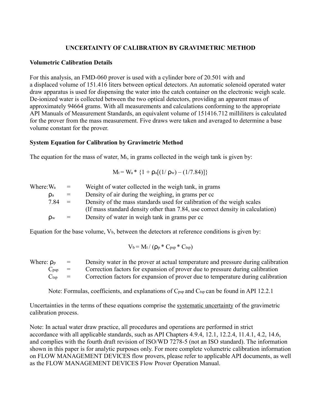#### **UNCERTAINTY OF CALIBRATION BY GRAVIMETRIC METHOD**

#### **Volumetric Calibration Details**

For this analysis, an FMD-060 prover is used with a cylinder bore of 20.501 with and a displaced volume of 151.416 liters between optical detectors. An automatic solenoid operated water draw apparatus is used for dispensing the water into the catch container on the electronic weigh scale. De-ionized water is collected between the two optical detectors, providing an apparent mass of approximately 94664 grams. With all measurements and calculations conforming to the appropriate API Manuals of Measurement Standards, an equivalent volume of 151416.712 milliliters is calculated for the prover from the mass measurement. Five draws were taken and averaged to determine a base volume constant for the prover.

#### **System Equation for Calibration by Gravimetric Method**

The equation for the mass of water,  $M_t$ , in grams collected in the weigh tank is given by:

$$
M_t = W_a * \{1 + \rho_a[(1/\rho_w) - (1/7.84)]\}
$$

| Where: Wa      | $=$          | Weight of water collected in the weigh tank, in grams                          |
|----------------|--------------|--------------------------------------------------------------------------------|
| $\mathsf{p}_a$ | $=$          | Density of air during the weighing, in grams per cc                            |
| 7.84           | $\alpha = 1$ | Density of the mass standards used for calibration of the weigh scales         |
|                |              | (If mass standard density other than 7.84, use correct density in calculation) |
| <b>Dw</b>      | $=$          | Density of water in weigh tank in grams per cc.                                |

Equation for the base volume,  $V_b$ , between the detectors at reference conditions is given by:

$$
V_b = M_t / (\rho_p * C_{psp} * C_{tsp})
$$

| Where: $\rho_{p}$           | $\alpha = 1$              | Density water in the prover at actual temperature and pressure during calibration |
|-----------------------------|---------------------------|-----------------------------------------------------------------------------------|
| $\mathrm{C}_{\text{DSD}}$ = |                           | Correction factors for expansion of prover due to pressure during calibration     |
| $\mathbf{C}$ tsp            | $\mathbf{r} = \mathbf{r}$ | Correction factors for expansion of prover due to temperature during calibration  |

Note: Formulas, coefficients, and explanations of C<sub>psp</sub> and C<sub>tsp</sub> can be found in API 12.2.1

Uncertainties in the terms of these equations comprise the systematic uncertainty of the gravimetric calibration process.

Note: In actual water draw practice, all procedures and operations are performed in strict accordance with all applicable standards, such as API Chapters 4.9.4, 12.1, 12.2.4, 11.4.1, 4.2, 14.6, and complies with the fourth draft revision of ISO/WD 7278-5 (not an ISO standard). The information shown in this paper is for analytic purposes only. For more complete volumetric calibration information on FLOW MANAGEMENT DEVICES flow provers, please refer to applicable API documents, as well as the FLOW MANAGEMENT DEVICES Flow Prover Operation Manual.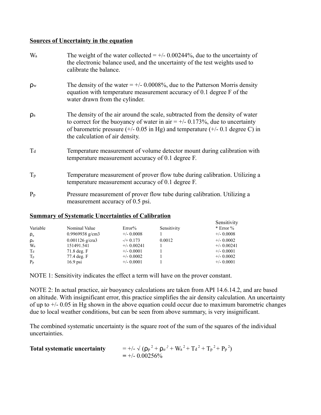#### **Sources of Uncertainty in the equation**

| Wa             | The weight of the water collected = $+/$ 0.00244%, due to the uncertainty of<br>the electronic balance used, and the uncertainty of the test weights used to<br>calibrate the balance.                                                                                                                 |
|----------------|--------------------------------------------------------------------------------------------------------------------------------------------------------------------------------------------------------------------------------------------------------------------------------------------------------|
| $\rho_{\rm w}$ | The density of the water $= +/2.0008\%$ , due to the Patterson Morris density<br>equation with temperature measurement accuracy of 0.1 degree F of the<br>water drawn from the cylinder.                                                                                                               |
| $\mathsf{p}_a$ | The density of the air around the scale, subtracted from the density of water<br>to correct for the buoyancy of water in air = $+/$ 0.173%, due to uncertainty<br>of barometric pressure $(+/- 0.05 \text{ in Hg})$ and temperature $(+/- 0.1 \text{ degree C})$ in<br>the calculation of air density. |
| $T_d$          | Temperature measurement of volume detector mount during calibration with<br>temperature measurement accuracy of 0.1 degree F.                                                                                                                                                                          |
| $T_{p}$        | Temperature measurement of prover flow tube during calibration. Utilizing a<br>temperature measurement accuracy of 0.1 degree F.                                                                                                                                                                       |
| $P_p$          | Pressure measurement of prover flow tube during calibration. Utilizing a<br>measurement accuracy of 0.5 psi.                                                                                                                                                                                           |

#### **Summary of Systematic Uncertainties of Calibration**

| Variable       | Nominal Value     | Error%        | Sensitivity | Sensitivity<br>$*$ Error % |
|----------------|-------------------|---------------|-------------|----------------------------|
| $\rho_w$       | 0.9969938 g/cm3   | $+/- 0.0008$  |             | $+/- 0.0008$               |
| $\mathsf{p}_a$ | $0.001126$ g/cra3 | $-$ /+ 0.173  | 0.0012      | $+/- 0.0002$               |
| W <sub>a</sub> | 151491.541        | $+/- 0.00241$ |             | $+/- 0.00241$              |
| Ta             | $71.8$ deg. $F$   | $+/- 0.0001$  |             | $+/- 0.0001$               |
| $T_{p}$        | 77.4 deg. F       | $+/- 0.0002$  |             | $+/- 0.0002$               |
| $P_p$          | $16.9$ psi        | $+/- 0.0001$  |             | $+/- 0.0001$               |

NOTE 1: Sensitivity indicates the effect a term will have on the prover constant.

NOTE 2: In actual practice, air buoyancy calculations are taken from API 14.6.14.2, and are based on altitude. With insignificant error, this practice simplifies the air density calculation. An uncertainty of up to  $+/- 0.05$  in Hg shown in the above equation could occur due to maximum barometric changes due to local weather conditions, but can be seen from above summary, is very insignificant.

The combined systematic uncertainty is the square root of the sum of the squares of the individual uncertainties.

| <b>Total systematic uncertainty</b> | $= +/- \sqrt{(p_p^2 + p_a^2 + W_a^2 + T_d^2 + T_p^2 + P_p^2)}$ |
|-------------------------------------|----------------------------------------------------------------|
|                                     | $= +/- 0.00256\%$                                              |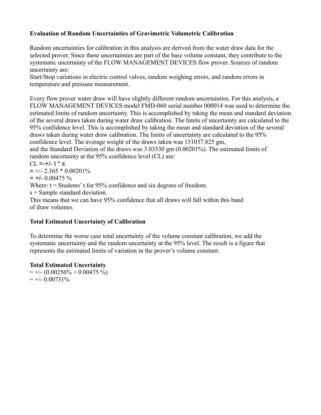#### **Evaluation of Random Uncertainties of Gravimetric Volumetric Calibration**

Random uncertainties for calibration in this analysis are derived from the water draw data for the selected prover. Since these uncertainties are part of the base volume constant, they contribute to the systematic uncertainty of the FLOW MANAGEMENT DEVICES flow prover. Sources of random uncertainty are:

Start/Stop variations in electric control valves, random weighing errors, and random errors in temperature and pressure measurement.

Every flow prover water draw will have slightly different random uncertainties. For this analysis, a FLOW MANAGEMENT DEVICES model FMD-060 serial number 000014 was used to determine the estimated limits of random uncertainty. This is accomplished by taking the mean and standard deviation of the several draws taken during water draw calibration. The limits of uncertainty are calculated to the 95% confidence level. This is accomplished by taking the mean and standard deviation of the several draws taken during water draw calibration. The limits of uncertainty are calculated to the 95% confidence level. The average weight of the draws taken was 151037.825 gm,

and the Standard Deviation of the draws was 3.03530 gm (0.00201%). The estimated limits of random uncertainty at the 95% confidence level (CL) are:

 $CL = +/- t * s$ 

 $= +/- 2.365 * 0.00201%$ 

 $= +/- 0.00475 \%$ 

Where:  $t =$  Students' t for 95% confidence and six degrees of freedom.

s = Sample standard deviation.

This means that we can have 95% confidence that all draws will fall within this band of draw volumes.

#### **Total Estimated Uncertainty of Calibration**

To determine the worse case total uncertainty of the volume constant calibration, we add the systematic uncertainty and the random uncertainty at the 95% level. The result is a figure that represents the estimated limits of variation in the prover's volume constant.

#### **Total Estimated Uncertainty**

 $= +/- (0.00256\% + 0.00475\%)$  $= +/- 0.00731\%$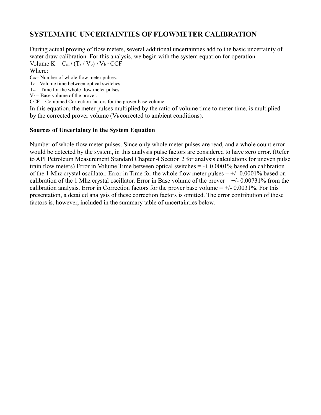### **SYSTEMATIC UNCERTAINTIES OF FLOWMETER CALIBRATION**

During actual proving of flow meters, several additional uncertainties add to the basic uncertainty of water draw calibration. For this analysis, we begin with the system equation for operation. Volume  $K = C_m * (T_v / V_b) * V_b * CCF$ 

Where:

Cm= Number of whole flow meter pulses.

 $T_v$  = Volume time between optical switches.

 $T_m$  = Time for the whole flow meter pulses.

 $V_b$  = Base volume of the prover.

CCF = Combined Correction factors for the prover base volume.

In this equation, the meter pulses multiplied by the ratio of volume time to meter time, is multiplied by the corrected prover volume  $(V_b$  corrected to ambient conditions).

#### **Sources of Uncertainty in the System Equation**

Number of whole flow meter pulses. Since only whole meter pulses are read, and a whole count error would be detected by the system, in this analysis pulse factors are considered to have zero error. (Refer to API Petroleum Measurement Standard Chapter 4 Section 2 for analysis calculations for uneven pulse train flow meters) Error in Volume Time between optical switches  $= +0.0001\%$  based on calibration of the 1 Mhz crystal oscillator. Error in Time for the whole flow meter pulses  $= +/-0.0001\%$  based on calibration of the 1 Mhz crystal oscillator. Error in Base volume of the prover  $= +/0.00731\%$  from the calibration analysis. Error in Correction factors for the prover base volume  $= +/-0.0031\%$ . For this presentation, a detailed analysis of these correction factors is omitted. The error contribution of these factors is, however, included in the summary table of uncertainties below.